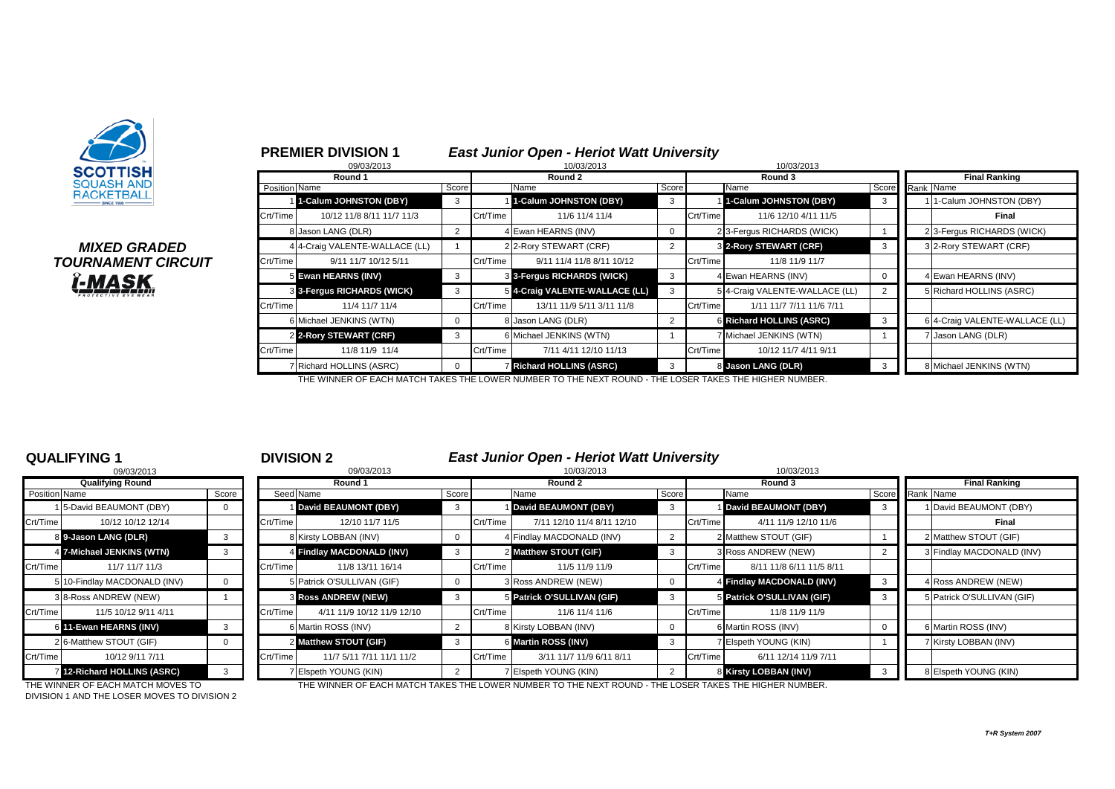

# *TOURNAMENT CIRCUIT<br>L<mark>imask</mark>*

# **PREMIER DIVISION 1** *East Junior Open - Heriot Watt University*

|                                      |               | 09/03/2013                     |                |          | 10/03/2013                     |             |          | 10/03/2013                     |   |                                |
|--------------------------------------|---------------|--------------------------------|----------------|----------|--------------------------------|-------------|----------|--------------------------------|---|--------------------------------|
| SCOTTISH                             |               | Round 1                        |                |          | Round 2                        |             |          | Round 3                        |   | <b>Final Ranking</b>           |
| <b>QUASH AND</b><br><b>ACKETBALL</b> | Position Name |                                | Score          |          | Name                           | Score       |          | Name                           |   | Score Rank Name                |
|                                      |               | 1-Calum JOHNSTON (DBY)         | 3              |          | 1-Calum JOHNSTON (DBY)         | 3           |          | 1-Calum JOHNSTON (DBY)         | 3 | 1-Calum JOHNSTON (DBY)         |
|                                      | Crt/Time      | 10/12 11/8 8/11 11/7 11/3      |                | Crt/Time | 11/6 11/4 11/4                 |             | Crt/Time | 11/6 12/10 4/11 11/5           |   | Final                          |
|                                      |               | 8 Jason LANG (DLR)             | $\overline{2}$ |          | 4 Ewan HEARNS (INV)            | $\mathbf 0$ |          | 2 3-Fergus RICHARDS (WICK)     |   | 2 3-Fergus RICHARDS (WICK)     |
| <i><b>MIXED GRADED</b></i>           |               | 4 4-Craig VALENTE-WALLACE (LL) |                |          | 2 2-Rory STEWART (CRF)         | 2           |          | 3 2-Rory STEWART (CRF)         | 3 | 3 2-Rory STEWART (CRF)         |
| <i><b>IRNAMENT CIRCUIT</b></i>       | Crt/Time      | 9/11 11/7 10/12 5/11           |                | Crt/Time | 9/11 11/4 11/8 8/11 10/12      |             | Crt/Time | 11/8 11/9 11/7                 |   |                                |
|                                      |               | 5 Ewan HEARNS (INV)            | 3              |          | 3 3-Fergus RICHARDS (WICK)     | 3           |          | 4 Ewan HEARNS (INV)            |   | 4 Ewan HEARNS (INV)            |
| <u>-MASK</u>                         |               | 3 3-Fergus RICHARDS (WICK)     | 3              |          | 5 4-Craig VALENTE-WALLACE (LL) | 3           |          | 5 4-Craig VALENTE-WALLACE (LL) |   | 5 Richard HOLLINS (ASRC)       |
|                                      | Crt/Time      | 11/4 11/7 11/4                 |                | Crt/Time | 13/11 11/9 5/11 3/11 11/8      |             | Crt/Time | 1/11 11/7 7/11 11/6 7/11       |   |                                |
|                                      |               | 6 Michael JENKINS (WTN)        | $\Omega$       |          | 8 Jason LANG (DLR)             | 2           |          | 6 Richard HOLLINS (ASRC)       | 3 | 6 4-Craig VALENTE-WALLACE (LL) |
|                                      |               | 2 2-Rory STEWART (CRF)         | 3              |          | 6 Michael JENKINS (WTN)        |             |          | 7 Michael JENKINS (WTN)        |   | Jason LANG (DLR)               |
|                                      | Crt/Time      | 11/8 11/9 11/4                 |                | Crt/Time | 7/11 4/11 12/10 11/13          |             | Crt/Time | 10/12 11/7 4/11 9/11           |   |                                |
|                                      |               | <b>Richard HOLLINS (ASRC)</b>  | $\Omega$       |          | <b>Richard HOLLINS (ASRC)</b>  | 3           |          | 8 Jason LANG (DLR)             |   | 8 Michael JENKINS (WTN)        |

THE WINNER OF EACH MATCH TAKES THE LOWER NUMBER TO THE NEXT ROUND - THE LOSER TAKES THE HIGHER NUMBER.

|                         | 09/03/2013                 |          |  |  |  |  |  |  |  |  |  |
|-------------------------|----------------------------|----------|--|--|--|--|--|--|--|--|--|
| <b>Qualifying Round</b> |                            |          |  |  |  |  |  |  |  |  |  |
|                         | Position Name              |          |  |  |  |  |  |  |  |  |  |
| 1                       | 5-David BEAUMONT (DBY)     |          |  |  |  |  |  |  |  |  |  |
| Crt/Time                | 10/12 10/12 12/14          |          |  |  |  |  |  |  |  |  |  |
|                         | 8 9-Jason LANG (DLR)       | 3        |  |  |  |  |  |  |  |  |  |
| $\overline{4}$          | 7-Michael JENKINS (WTN)    | 3        |  |  |  |  |  |  |  |  |  |
| Crt/Time                | 11/7 11/7 11/3             |          |  |  |  |  |  |  |  |  |  |
| 5                       | 10-Findlay MACDONALD (INV) | $\Omega$ |  |  |  |  |  |  |  |  |  |
|                         | 3 8-Ross ANDREW (NEW)      | 1        |  |  |  |  |  |  |  |  |  |
| Crt/Time                | 11/5 10/12 9/11 4/11       |          |  |  |  |  |  |  |  |  |  |
| 6                       | 11-Ewan HEARNS (INV)       | 3        |  |  |  |  |  |  |  |  |  |
| $\overline{2}$          | 6-Matthew STOUT (GIF)      | $\Omega$ |  |  |  |  |  |  |  |  |  |
| Crt/Time                | 10/12 9/11 7/11            |          |  |  |  |  |  |  |  |  |  |
| 71                      | 12-Richard HOLLINS (ASRC)  | 3        |  |  |  |  |  |  |  |  |  |

**QUALIFYING 1** <sup>1</sup> **DIVISION 2** *East Junior Open - Heriot Watt University*

|               | 09/03/2013                   |       |          | 09/03/2013                 |             |          | 10/03/2013                 |       | 10/03/2013                           |                                |
|---------------|------------------------------|-------|----------|----------------------------|-------------|----------|----------------------------|-------|--------------------------------------|--------------------------------|
|               | <b>Qualifying Round</b>      |       |          | Round 1                    |             |          | Round 2                    |       | Round 3                              | <b>Final Ranking</b>           |
| Position Name |                              | Score |          | Seed Name                  | Score       |          | Name                       | Score | Name                                 | Score Rank Name                |
|               | 5-David BEAUMONT (DBY)       |       |          | David BEAUMONT (DBY)       | 3           |          | David BEAUMONT (DBY)       | -3    | <b>I</b> David BEAUMONT (DBY)        | David BEAUMONT (DBY)           |
| Crt/Time      | 10/12 10/12 12/14            |       | Crt/Time | 12/10 11/7 11/5            |             | Crt/Time | 7/11 12/10 11/4 8/11 12/10 |       | 4/11 11/9 12/10 11/6<br>Crt/Time     | Final                          |
|               | 8 9-Jason LANG (DLR)         |       |          | 8 Kirsty LOBBAN (INV)      | $\mathbf 0$ |          | 4 Findlay MACDONALD (INV)  |       | 2 Matthew STOUT (GIF)                | 2 Matthew STOUT (GIF)          |
|               | 4 7-Michael JENKINS (WTN)    |       |          | 4 Findlay MACDONALD (INV)  | 3           |          | 2 Matthew STOUT (GIF)      |       | 3 Ross ANDREW (NEW)                  | <b>Findlay MACDONALD (INV)</b> |
| Crt/Time      | 11/7 11/7 11/3               |       | Crt/Time | 11/8 13/11 16/14           |             | Crt/Time | 11/5 11/9 11/9             |       | Crt/Time<br>8/11 11/8 6/11 11/5 8/11 |                                |
|               | 5 10-Findlay MACDONALD (INV) |       |          | 5 Patrick O'SULLIVAN (GIF) | $\mathbf 0$ |          | 3 Ross ANDREW (NEW)        |       | 4 Findlay MACDONALD (INV)            | 4 Ross ANDREW (NEW)            |
|               | 3 8-Ross ANDREW (NEW)        |       |          | <b>3 Ross ANDREW (NEW)</b> | 3           |          | 5 Patrick O'SULLIVAN (GIF) |       | 5 Patrick O'SULLIVAN (GIF)           | 5 Patrick O'SULLIVAN (GIF)     |
| Crt/Time      | 11/5 10/12 9/11 4/11         |       | Crt/Time | 4/11 11/9 10/12 11/9 12/10 |             | Crt/Time | 11/6 11/4 11/6             |       | Crt/Time<br>11/8 11/9 11/9           |                                |
|               | 6 11-Ewan HEARNS (INV)       |       |          | 6 Martin ROSS (INV)        | 2           |          | 8 Kirsty LOBBAN (INV)      |       | 6 Martin ROSS (INV)                  | 6 Martin ROSS (INV)            |
|               | 2 6-Matthew STOUT (GIF)      |       |          | 2 Matthew STOUT (GIF)      | -3          |          | 6 Martin ROSS (INV)        |       | 7 Elspeth YOUNG (KIN)                | 7 Kirsty LOBBAN (INV)          |
| Crt/Time      | 10/12 9/11 7/11              |       | Crt/Time | 11/7 5/11 7/11 11/1 11/2   |             | Crt/Time | 3/11 11/7 11/9 6/11 8/11   |       | Crt/Time<br>6/11 12/14 11/9 7/11     |                                |
|               | 12-Richard HOLLINS (ASRC)    |       |          | 7 Elspeth YOUNG (KIN)      |             |          | 7 Elspeth YOUNG (KIN)      |       | 8 Kirsty LOBBAN (INV)                | 8 Elspeth YOUNG (KIN)          |

DIVISION 1 AND THE LOSER MOVES TO DIVISION 2

THE WINNER OF EACH MATCH MOVES TO THE THE WINNER OF EACH MATCH TAKES THE LOWER NUMBER TO THE NEXT ROUND - THE LOSER TAKES THE HIGHER NUMBER.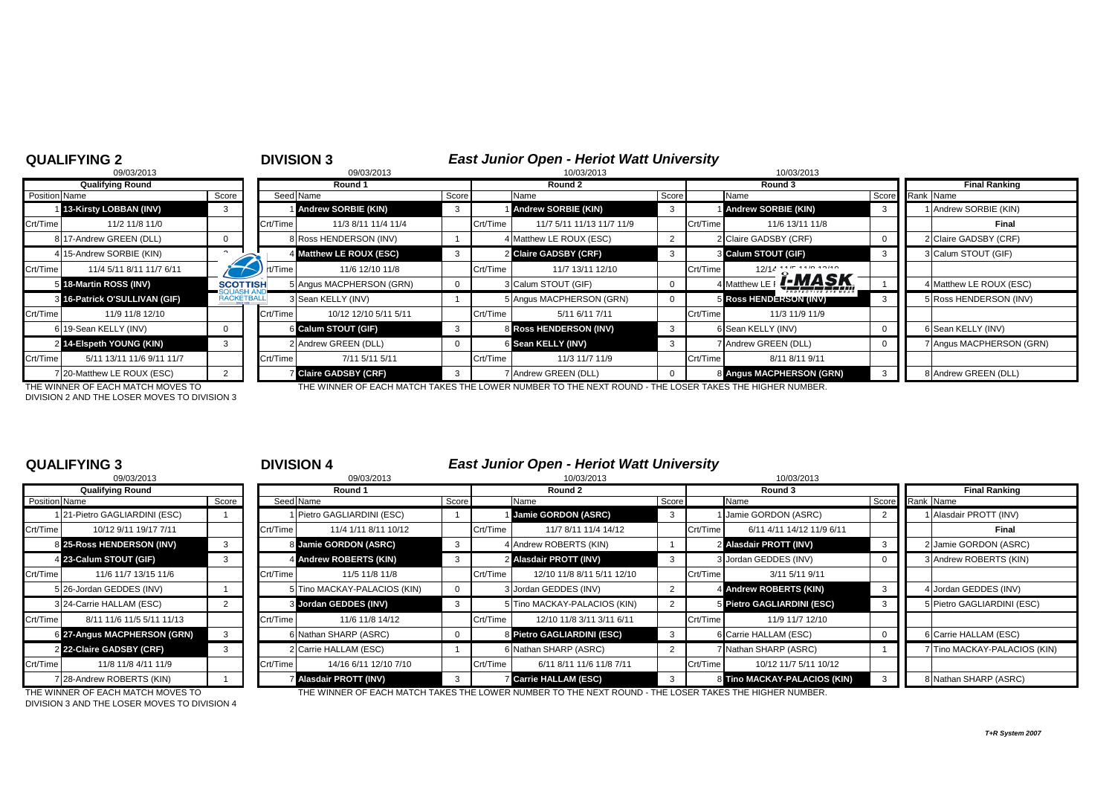| <b>QUALIFYING 2</b>                   |                   |          | <b>DIVISION 3</b>          |       |          | <b>East Junior Open - Heriot Watt University</b>                                                      |       |          |                                 |              |                          |
|---------------------------------------|-------------------|----------|----------------------------|-------|----------|-------------------------------------------------------------------------------------------------------|-------|----------|---------------------------------|--------------|--------------------------|
| 09/03/2013                            |                   |          | 09/03/2013                 |       |          | 10/03/2013                                                                                            |       |          | 10/03/2013                      |              |                          |
| <b>Qualifying Round</b>               |                   |          | Round 1                    |       |          | Round 2                                                                                               |       |          | Round 3                         |              | <b>Final Ranking</b>     |
| Position Name                         | Score             |          | Seed Name                  | Score |          | Name                                                                                                  | Score |          | Name                            | Score        | Rank Name                |
| 13-Kirsty LOBBAN (INV)                | 3                 |          | Andrew SORBIE (KIN)        | 3     |          | <b>Andrew SORBIE (KIN)</b>                                                                            |       |          | <b>Andrew SORBIE (KIN)</b>      | 3            | Andrew SORBIE (KIN)      |
| Crt/Time<br>11/2 11/8 11/0            |                   | Crt/Time | 11/3 8/11 11/4 11/4        |       | Crt/Time | 11/7 5/11 11/13 11/7 11/9                                                                             |       | Crt/Time | 11/6 13/11 11/8                 |              | Final                    |
| 17-Andrew GREEN (DLL)                 |                   |          | 8 Ross HENDERSON (INV)     |       |          | 4 Matthew LE ROUX (ESC)                                                                               |       |          | 2 Claire GADSBY (CRF)           | 0            | 2 Claire GADSBY (CRF)    |
| 4 15-Andrew SORBIE (KIN)              | $\sim$            |          | 4 Matthew LE ROUX (ESC)    | 3     |          | 2 Claire GADSBY (CRF)                                                                                 | 3     |          | 3 Calum STOUT (GIF)             | $\mathbf{3}$ | 3 Calum STOUT (GIF)      |
| Crt/Time<br>11/4 5/11 8/11 11/7 6/11  |                   | rt/Time  | 11/6 12/10 11/8            |       | Crt/Time | 11/7 13/11 12/10                                                                                      |       | Crt/Time | $12/14$ $14\frac{1}{2}$ $16.40$ |              |                          |
| 5 18-Martin ROSS (INV)                | <b>SCOTTISH</b>   |          | 5 Angus MACPHERSON (GRN)   | 0     |          | 3 Calum STOUT (GIF)                                                                                   |       |          | 4 Matthew LE   <b>[-MASK</b>    |              | 4 Matthew LE ROUX (ESC)  |
| 3 16-Patrick O'SULLIVAN (GIF)         | <b>RACKETBALL</b> |          | 3 Sean KELLY (INV)         |       |          | 5 Angus MACPHERSON (GRN)                                                                              |       |          | <b>5 Ross HENDERSON (INV)</b>   | 3            | 5 Ross HENDERSON (INV)   |
| Crt/Time<br>11/9 11/8 12/10           |                   | Crt/Time | 10/12 12/10 5/11 5/11      |       | Crt/Time | 5/11 6/11 7/11                                                                                        |       | Crt/Time | 11/3 11/9 11/9                  |              |                          |
| 6 19-Sean KELLY (INV)                 | $\Omega$          |          | 6 Calum STOUT (GIF)        | 3     |          | 8 Ross HENDERSON (INV)                                                                                |       |          | 6 Sean KELLY (INV)              | 0            | 6 Sean KELLY (INV)       |
| 2 14-Elspeth YOUNG (KIN)              |                   |          | 2 Andrew GREEN (DLL)       | 0     |          | 6 Sean KELLY (INV)                                                                                    |       |          | 7 Andrew GREEN (DLL)            |              | 7 Angus MACPHERSON (GRN) |
| Crt/Time<br>5/11 13/11 11/6 9/11 11/7 |                   | Crt/Time | 7/11 5/11 5/11             |       | Crt/Time | 11/3 11/7 11/9                                                                                        |       | Crt/Time | 8/11 8/11 9/11                  |              |                          |
| 720-Matthew LE ROUX (ESC)             |                   |          | <b>Claire GADSBY (CRF)</b> | 3     |          | 7 Andrew GREEN (DLL)                                                                                  |       |          | 8 Angus MACPHERSON (GRN)        | -3           | 8 Andrew GREEN (DLL)     |
| THE WINNER OF EACH MATCH MOVES TO     |                   |          |                            |       |          | THE WINNER OF EACH MATCH TAKES THE LOWER NUMBER TO THE NEXT ROUND . THE LOSER TAKES THE HIGHER NUMBER |       |          |                                 |              |                          |

DIVISION 2 AND THE LOSER MOVES TO DIVISION 3

ACH MATCH TAKES THE LOWER NUMBER TO THE NEXT ROUND - THE LOSER TAKES TH

|               | 09/03/2013                  |       |
|---------------|-----------------------------|-------|
|               | <b>Qualifying Round</b>     |       |
| Position Name |                             | Score |
| 1             | 21-Pietro GAGLIARDINI (ESC) |       |
| Crt/Time      | 10/12 9/11 19/17 7/11       |       |
| 8             | 25-Ross HENDERSON (INV)     | 3     |
| 41            | 23-Calum STOUT (GIF)        | 3     |
| Crt/Time      | 11/6 11/7 13/15 11/6        |       |
| 5             | 26-Jordan GEDDES (INV)      |       |
|               | 3 24-Carrie HALLAM (ESC)    | 2     |
| Crt/Time      | 8/11 11/6 11/5 5/11 11/13   |       |
| 61            | 27-Angus MACPHERSON (GRN)   | 3     |
|               | 2 22-Claire GADSBY (CRF)    | 3     |
| Crt/Time      | 11/8 11/8 4/11 11/9         |       |
| 7             | 28-Andrew ROBERTS (KIN)     |       |

## **QUALIFYING 3** <sup>3</sup> **DIVISION 4** *East Junior Open - Heriot Watt University*

|                      | 09/03/2013                        |       |          | 09/03/2013                    |              |          | 10/03/2013                                                                                             |       |          | 10/03/2013                   |                         |                              |  |
|----------------------|-----------------------------------|-------|----------|-------------------------------|--------------|----------|--------------------------------------------------------------------------------------------------------|-------|----------|------------------------------|-------------------------|------------------------------|--|
|                      | <b>Qualifying Round</b>           |       | Round 1  |                               |              |          | Round 2                                                                                                |       |          | Round 3                      |                         | <b>Final Ranking</b>         |  |
| <b>Position</b> Name |                                   | Score |          | Seed Name                     | Score        |          | Name                                                                                                   | Score |          | Name                         |                         | Score<br>Rank Name           |  |
|                      | 1 21-Pietro GAGLIARDINI (ESC)     |       |          | Pietro GAGLIARDINI (ESC)      |              |          | 1 Jamie GORDON (ASRC)                                                                                  | 3     |          | Jamie GORDON (ASRC)          |                         | 1 Alasdair PROTT (INV)       |  |
| Crt/Time             | 10/12 9/11 19/17 7/11             |       | Crt/Time | 11/4 1/11 8/11 10/12          |              | Crt/Time | 11/7 8/11 11/4 14/12                                                                                   |       | Crt/Time | 6/11 4/11 14/12 11/9 6/11    |                         | Final                        |  |
|                      | 8 25-Ross HENDERSON (INV)         | 3     |          | 8 Jamie GORDON (ASRC)         | $\mathbf{3}$ |          | 4 Andrew ROBERTS (KIN)                                                                                 |       |          | 2 Alasdair PROTT (INV)       | $\overline{\mathbf{3}}$ | 2 Jamie GORDON (ASRC)        |  |
|                      | 4 23-Calum STOUT (GIF)            | 3     |          | 4 Andrew ROBERTS (KIN)        | 3            |          | 2 Alasdair PROTT (INV)                                                                                 | 3     |          | 3 Jordan GEDDES (INV)        |                         | 3 Andrew ROBERTS (KIN)       |  |
| Crt/Time             | 11/6 11/7 13/15 11/6              |       | Crt/Time | 11/5 11/8 11/8                |              | Crt/Time | 12/10 11/8 8/11 5/11 12/10                                                                             |       | Crt/Time | 3/11 5/11 9/11               |                         |                              |  |
|                      | 5 26-Jordan GEDDES (INV)          |       |          | 5 Tino MACKAY-PALACIOS (KIN)  | $\Omega$     |          | 3 Jordan GEDDES (INV)                                                                                  |       |          | 4 Andrew ROBERTS (KIN)       | -3                      | 4 Jordan GEDDES (INV)        |  |
|                      | 3 24-Carrie HALLAM (ESC)          |       |          | 3 Jordan GEDDES (INV)         | -3           |          | 5 Tino MACKAY-PALACIOS (KIN)                                                                           |       |          | 5 Pietro GAGLIARDINI (ESC)   | -3                      | 5 Pietro GAGLIARDINI (ESC)   |  |
| Crt/Time             | 8/11 11/6 11/5 5/11 11/13         |       | Crt/Time | 11/6 11/8 14/12               |              | Crt/Time | 12/10 11/8 3/11 3/11 6/11                                                                              |       | Crt/Time | 11/9 11/7 12/10              |                         |                              |  |
|                      | 6 27-Angus MACPHERSON (GRN)       | 3     |          | 3 Nathan SHARP (ASRC)         |              |          | 8 Pietro GAGLIARDINI (ESC)                                                                             |       |          | 6 Carrie HALLAM (ESC)        |                         | 6 Carrie HALLAM (ESC)        |  |
|                      | 2 22-Claire GADSBY (CRF)          | 3     |          | 2 Carrie HALLAM (ESC)         |              |          | 6 Nathan SHARP (ASRC)                                                                                  |       |          | V Nathan SHARP (ASRC)        |                         | 7 Tino MACKAY-PALACIOS (KIN) |  |
| Crt/Time             | 11/8 11/8 4/11 11/9               |       | Crt/Time | 14/16 6/11 12/10 7/10         |              | Crt/Time | 6/11 8/11 11/6 11/8 7/11                                                                               |       | Crt/Time | 10/12 11/7 5/11 10/12        |                         |                              |  |
|                      | 7 28-Andrew ROBERTS (KIN)         |       |          | <b>7 Alasdair PROTT (INV)</b> | 3            |          | <b>Z Carrie HALLAM (ESC)</b>                                                                           | 3     |          | 8 Tino MACKAY-PALACIOS (KIN) |                         | 8 Nathan SHARP (ASRC)        |  |
|                      | THE WINNER OF EACH MATCH MOVES TO |       |          |                               |              |          | THE WINNER OF EACH MATCH TAKES THE LOWER NUMBER TO THE NEXT ROUND - THE LOSER TAKES THE HIGHER NUMBER. |       |          |                              |                         |                              |  |

DIVISION 3 AND THE LOSER MOVES TO DIVISION 4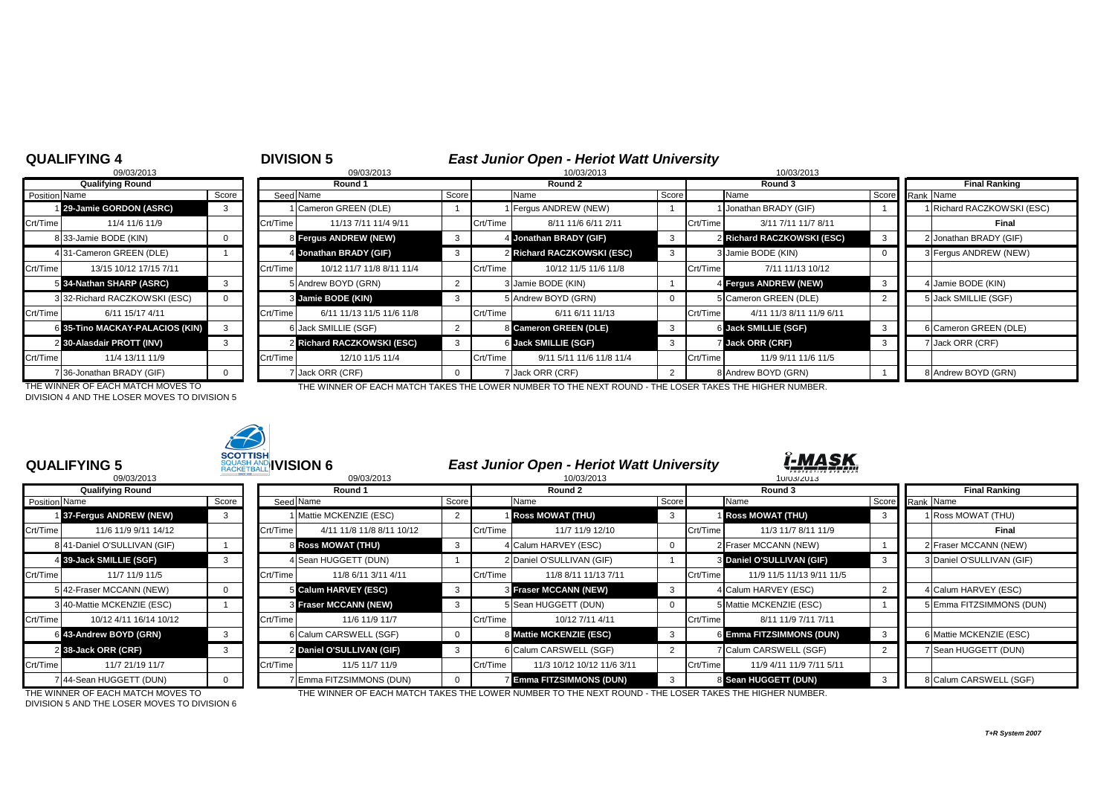### **QUALIFYING 4** <sup>4</sup> **DIVISION 5** *East Junior Open - Heriot Watt University*

|                | 09/03/2013                    |          |
|----------------|-------------------------------|----------|
|                | <b>Qualifying Round</b>       |          |
| Position Name  |                               | Score    |
|                | 29-Jamie GORDON (ASRC)        | 3        |
| Crt/Time       | 11/4 11/6 11/9                |          |
| 8              | 33-Jamie BODE (KIN)           | $\Omega$ |
|                | 4 31-Cameron GREEN (DLE)      |          |
| Crt/Time       | 13/15 10/12 17/15 7/11        |          |
| 5              | 34-Nathan SHARP (ASRC)        | 3        |
|                | 3 32-Richard RACZKOWSKI (ESC) | 0        |
| Crt/Time       | 6/11 15/17 4/11               |          |
| 6              | 35-Tino MACKAY-PALACIOS (KIN) | 3        |
| $\overline{2}$ | 30-Alasdair PROTT (INV)       | 3        |
| Crt/Time       | 11/4 13/11 11/9               |          |
|                | 7 36-Jonathan BRADY (GIF)     |          |

|               | 09/03/2013                      |       |          | 09/03/2013                 |       |          | 10/03/2013                 |       | 10/03/2013                           |                          |
|---------------|---------------------------------|-------|----------|----------------------------|-------|----------|----------------------------|-------|--------------------------------------|--------------------------|
|               | <b>Qualifying Round</b>         |       | Round 1  |                            |       |          | Round 2                    |       | Round 3                              | <b>Final Ranking</b>     |
| Position Name |                                 | Score |          | Seed Name                  | Score |          | Name                       | Score | Name                                 | Score Rank Name          |
|               | 29-Jamie GORDON (ASRC)          |       |          | 1 Cameron GREEN (DLE)      |       |          | Fergus ANDREW (NEW)        |       | Jonathan BRADY (GIF)                 | Richard RACZKOWSKI (ESC) |
| Crt/Time      | 11/4 11/6 11/9                  |       | Crt/Time | 11/13 7/11 11/4 9/11       |       | Crt/Time | 8/11 11/6 6/11 2/11        |       | Crt/Time<br>3/11 7/11 11/7 8/11      | Final                    |
|               | 8 33-Jamie BODE (KIN)           |       |          | 8 Fergus ANDREW (NEW)      | -3    |          | 4 Jonathan BRADY (GIF)     |       | 2 Richard RACZKOWSKI (ESC)           | 2 Jonathan BRADY (GIF)   |
|               | 4 31-Cameron GREEN (DLE)        |       |          | 4 Jonathan BRADY (GIF)     |       |          | 2 Richard RACZKOWSKI (ESC) |       | 3 Jamie BODE (KIN)                   | 3 Fergus ANDREW (NEW)    |
| Crt/Time      | 13/15 10/12 17/15 7/11          |       | Crt/Time | 10/12 11/7 11/8 8/11 11/4  |       | Crt/Time | 10/12 11/5 11/6 11/8       |       | Crt/Time<br>7/11 11/13 10/12         |                          |
|               | 5 34-Nathan SHARP (ASRC)        |       |          | 5 Andrew BOYD (GRN)        |       |          | 3 Jamie BODE (KIN)         |       | 4 Fergus ANDREW (NEW)                | 4 Jamie BODE (KIN)       |
|               | 3 32-Richard RACZKOWSKI (ESC)   |       |          | 3 Jamie BODE (KIN)         |       |          | 5 Andrew BOYD (GRN)        |       | 5 Cameron GREEN (DLE)                | 5 Jack SMILLIE (SGF)     |
| Crt/Time      | 6/11 15/17 4/11                 |       | Crt/Time | 6/11 11/13 11/5 11/6 11/8  |       | Crt/Time | 6/11 6/11 11/13            |       | Crt/Time<br>4/11 11/3 8/11 11/9 6/11 |                          |
|               | 6 35-Tino MACKAY-PALACIOS (KIN) |       |          | 6 Jack SMILLIE (SGF)       | 2     |          | 8 Cameron GREEN (DLE)      | -3    | 6 Jack SMILLIE (SGF)                 | 6 Cameron GREEN (DLE)    |
|               | 2 30-Alasdair PROTT (INV)       |       |          | 2 Richard RACZKOWSKI (ESC) | 3     |          | 6 Jack SMILLIE (SGF)       |       | Jack ORR (CRF)                       | Jack ORR (CRF)           |
| Crt/Time      | 11/4 13/11 11/9                 |       | Crt/Time | 12/10 11/5 11/4            |       | Crt/Time | 9/11 5/11 11/6 11/8 11/4   |       | Crt/Time<br>11/9 9/11 11/6 11/5      |                          |
|               | 736-Jonathan BRADY (GIF)        |       |          | 7 Jack ORR (CRF)           |       |          | 7 Jack ORR (CRF)           |       | 8 Andrew BOYD (GRN)                  | 8 Andrew BOYD (GRN)      |

THE WINNER OF EACH MATCH MOVES TO THE WINNER OF EACH MATCH TAKES THE LOWER NUMBER TO THE NEXT ROUND - THE LOSER TAKES THE HIGHER NUMBER. DIVISION 4 AND THE LOSER MOVES TO DIVISION 5



|               | <b>QUALIFYING 5</b>                   | <b>SCOTTISH</b> | SQUASH AND <b>IVISION 6</b> |                             |              |          | <b>East Junior Open - Heriot Watt University</b> |       | î <u>-MASK</u>                        |   |                                  |
|---------------|---------------------------------------|-----------------|-----------------------------|-----------------------------|--------------|----------|--------------------------------------------------|-------|---------------------------------------|---|----------------------------------|
|               | 09/03/2013<br><b>Qualifying Round</b> |                 |                             | 09/03/2013<br>Round 1       |              |          | 10/03/2013<br>Round 2                            |       | 10/03/2013<br>Round 3                 |   | <b>Final Ranking</b>             |
| Position Name |                                       | Score           | Seed Name                   |                             | Score        |          | Name                                             | Score | Name                                  |   | Score Rank Name                  |
|               | 37-Fergus ANDREW (NEW)                |                 |                             | Mattie MCKENZIE (ESC)       |              |          | <b>Ross MOWAT (THU)</b>                          | -3    | <b>Ross MOWAT (THU)</b>               |   | Ross MOWAT (THU)                 |
| Crt/Time      | 11/6 11/9 9/11 14/12                  |                 | Crt/Time                    | 4/11 11/8 11/8 8/11 10/12   |              | Crt/Time | 11/7 11/9 12/10                                  |       | Crt/Time<br>11/3 11/7 8/11 11/9       |   | Final                            |
|               | 8 41-Daniel O'SULLIVAN (GIF)          |                 |                             | <b>8 Ross MOWAT (THU)</b>   | $\mathbf{3}$ |          | 4 Calum HARVEY (ESC)                             |       | 2 Fraser MCCANN (NEW)                 |   | 2 Fraser MCCANN (NEW)            |
|               | 4 39-Jack SMILLIE (SGF)               |                 |                             | 4 Sean HUGGETT (DUN)        |              |          | 2 Daniel O'SULLIVAN (GIF)                        |       | 3 Daniel O'SULLIVAN (GIF)             | 3 | <b>B</b> Daniel O'SULLIVAN (GIF) |
| Crt/Time      | 11/7 11/9 11/5                        |                 | Crt/Time                    | 11/8 6/11 3/11 4/11         |              | Crt/Time | 11/8 8/11 11/13 7/11                             |       | Crt/Time<br>11/9 11/5 11/13 9/11 11/5 |   |                                  |
|               | 5 42-Fraser MCCANN (NEW)              |                 |                             | <b>5 Calum HARVEY (ESC)</b> | 3            |          | <b>8 Fraser MCCANN (NEW)</b>                     | -3    | 4 Calum HARVEY (ESC)                  |   | 4 Calum HARVEY (ESC)             |
|               | 3 40-Mattie MCKENZIE (ESC)            |                 |                             | 3 Fraser MCCANN (NEW)       | 3            |          | 5 Sean HUGGETT (DUN)                             |       | 5 Mattie MCKENZIE (ESC)               |   | 5 Emma FITZSIMMONS (DUN)         |
| Crt/Time      | 10/12 4/11 16/14 10/12                |                 | Crt/Time                    | 11/6 11/9 11/7              |              | Crt/Time | 10/12 7/11 4/11                                  |       | Crt/Time<br>8/11 11/9 7/11 7/11       |   |                                  |
|               | 6 43-Andrew BOYD (GRN)                |                 |                             | 6 Calum CARSWELL (SGF)      | $\mathbf 0$  |          | 8 Mattie MCKENZIE (ESC)                          | -3    | 6 Emma FITZSIMMONS (DUN)              |   | 6 Mattie MCKENZIE (ESC)          |
|               | 2 38-Jack ORR (CRF)                   |                 |                             | 2 Daniel O'SULLIVAN (GIF)   | 3            |          | 6 Calum CARSWELL (SGF)                           |       | 7 Calum CARSWELL (SGF)                |   | Sean HUGGETT (DUN)               |
| Crt/Time      | 11/7 21/19 11/7                       |                 | Crt/Time                    | 11/5 11/7 11/9              |              | Crt/Time | 11/3 10/12 10/12 11/6 3/11                       |       | Crt/Time<br>11/9 4/11 11/9 7/11 5/11  |   |                                  |
|               | 744-Sean HUGGETT (DUN)                |                 |                             | 7 Emma FITZSIMMONS (DUN)    | $\mathbf 0$  |          | <b>Emma FITZSIMMONS (DUN)</b>                    |       | 8 Sean HUGGETT (DUN)                  |   | <b>Calum CARSWELL (SGF)</b>      |

DIVISION 5 AND THE LOSER MOVES TO DIVISION 6

THE WINNER OF EACH MATCH MOVES TO THE WINNER OF EACH MATCH TAKES THE LOWER NUMBER TO THE NEXT ROUND - THE LOSER TAKES THE HIGHER NUMBER.